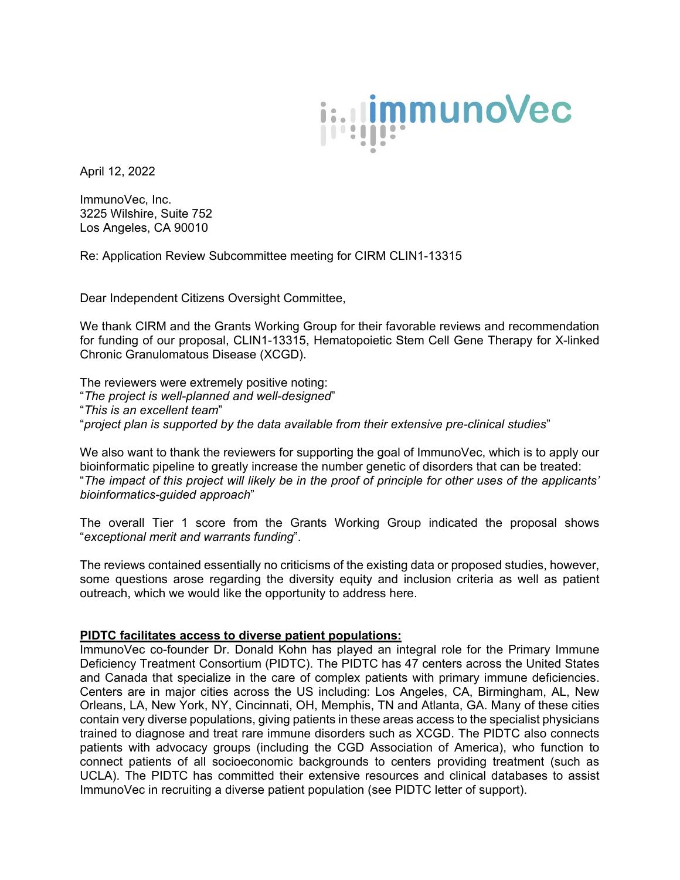

April 12, 2022

ImmunoVec, Inc. 3225 Wilshire, Suite 752 Los Angeles, CA 90010

Re: Application Review Subcommittee meeting for CIRM CLIN1-13315

Dear Independent Citizens Oversight Committee,

We thank CIRM and the Grants Working Group for their favorable reviews and recommendation for funding of our proposal, CLIN1-13315, Hematopoietic Stem Cell Gene Therapy for X-linked Chronic Granulomatous Disease (XCGD).

The reviewers were extremely positive noting: "*The project is well-planned and well-designed*" "*This is an excellent team*" "*project plan is supported by the data available from their extensive pre-clinical studies*"

We also want to thank the reviewers for supporting the goal of ImmunoVec, which is to apply our bioinformatic pipeline to greatly increase the number genetic of disorders that can be treated: "*The impact of this project will likely be in the proof of principle for other uses of the applicants' bioinformatics-guided approach*"

The overall Tier 1 score from the Grants Working Group indicated the proposal shows "*exceptional merit and warrants funding*".

The reviews contained essentially no criticisms of the existing data or proposed studies, however, some questions arose regarding the diversity equity and inclusion criteria as well as patient outreach, which we would like the opportunity to address here.

## **PIDTC facilitates access to diverse patient populations:**

ImmunoVec co-founder Dr. Donald Kohn has played an integral role for the Primary Immune Deficiency Treatment Consortium (PIDTC). The PIDTC has 47 centers across the United States and Canada that specialize in the care of complex patients with primary immune deficiencies. Centers are in major cities across the US including: Los Angeles, CA, Birmingham, AL, New Orleans, LA, New York, NY, Cincinnati, OH, Memphis, TN and Atlanta, GA. Many of these cities contain very diverse populations, giving patients in these areas access to the specialist physicians trained to diagnose and treat rare immune disorders such as XCGD. The PIDTC also connects patients with advocacy groups (including the CGD Association of America), who function to connect patients of all socioeconomic backgrounds to centers providing treatment (such as UCLA). The PIDTC has committed their extensive resources and clinical databases to assist ImmunoVec in recruiting a diverse patient population (see PIDTC letter of support).